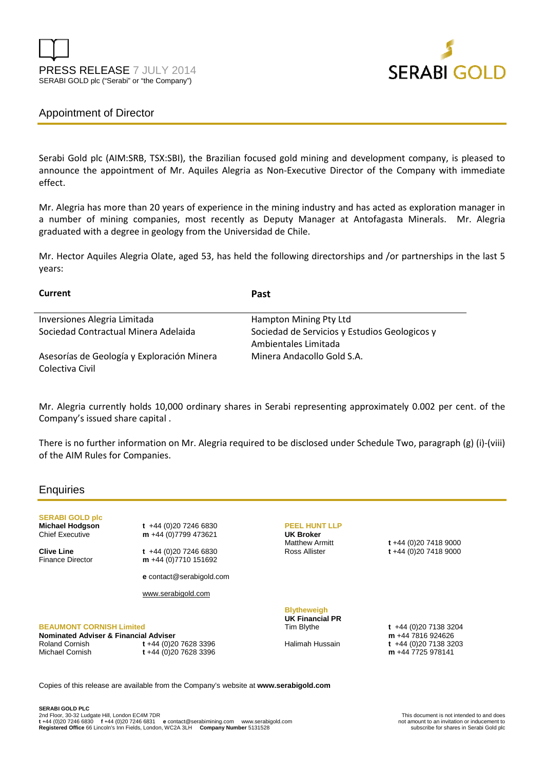



# Appointment of Director

Serabi Gold plc (AIM:SRB, TSX:SBI), the Brazilian focused gold mining and development company, is pleased to announce the appointment of Mr. Aquiles Alegria as Non-Executive Director of the Company with immediate effect.

Mr. Alegria has more than 20 years of experience in the mining industry and has acted as exploration manager in a number of mining companies, most recently as Deputy Manager at Antofagasta Minerals. Mr. Alegria graduated with a degree in geology from the Universidad de Chile.

Mr. Hector Aquiles Alegria Olate, aged 53, has held the following directorships and /or partnerships in the last 5 years:

| Current                                    | Past                                                                  |
|--------------------------------------------|-----------------------------------------------------------------------|
| Inversiones Alegria Limitada               | Hampton Mining Pty Ltd                                                |
| Sociedad Contractual Minera Adelaida       | Sociedad de Servicios y Estudios Geologicos y<br>Ambientales Limitada |
| Asesorías de Geología y Exploración Minera | Minera Andacollo Gold S.A.                                            |
| Colectiva Civil                            |                                                                       |

Mr. Alegria currently holds 10,000 ordinary shares in Serabi representing approximately 0.002 per cent. of the Company's issued share capital .

There is no further information on Mr. Alegria required to be disclosed under Schedule Two, paragraph (g) (i)-(viii) of the AIM Rules for Companies.

## **Enquiries**

**SERABI GOLD plc** 

**Michael Hodgson t +44 (0)20 7246 6830**<br>Chief Executive **m** +44 (0)7799 473621 m +44 (0)7799 473621

**Clive Line** t +44 (0)20 7246 6830<br>Finance Director **m** +44 (0)7710 151692 m +44 (0)7710 151692

**e** contact@serabigold.com

www.serabigold.com

### **BEAUMONT CORNISH Limited**

**Nominated Adviser & Financial Adviser**  Michael Cornish **t** +44 (0)20 7628 3396

Roland Cornish **t** +44 (0)20 7628 3396

## **PEEL HUNT LLP**

**UK Broker**

Matthew Armitt **t** +44 (0)20 7418 9000 Ross Allister **t** +44 (0)20 7418 9000

# **Blytheweigh UK Financial PR**

Tim Blythe **t** +44 (0)20 7138 3204 **m** +44 7816 924626 Halimah Hussain **t** +44 (0)20 7138 3203 **m** +44 7725 978141

Copies of this release are available from the Company's website at **www.serabigold.com**